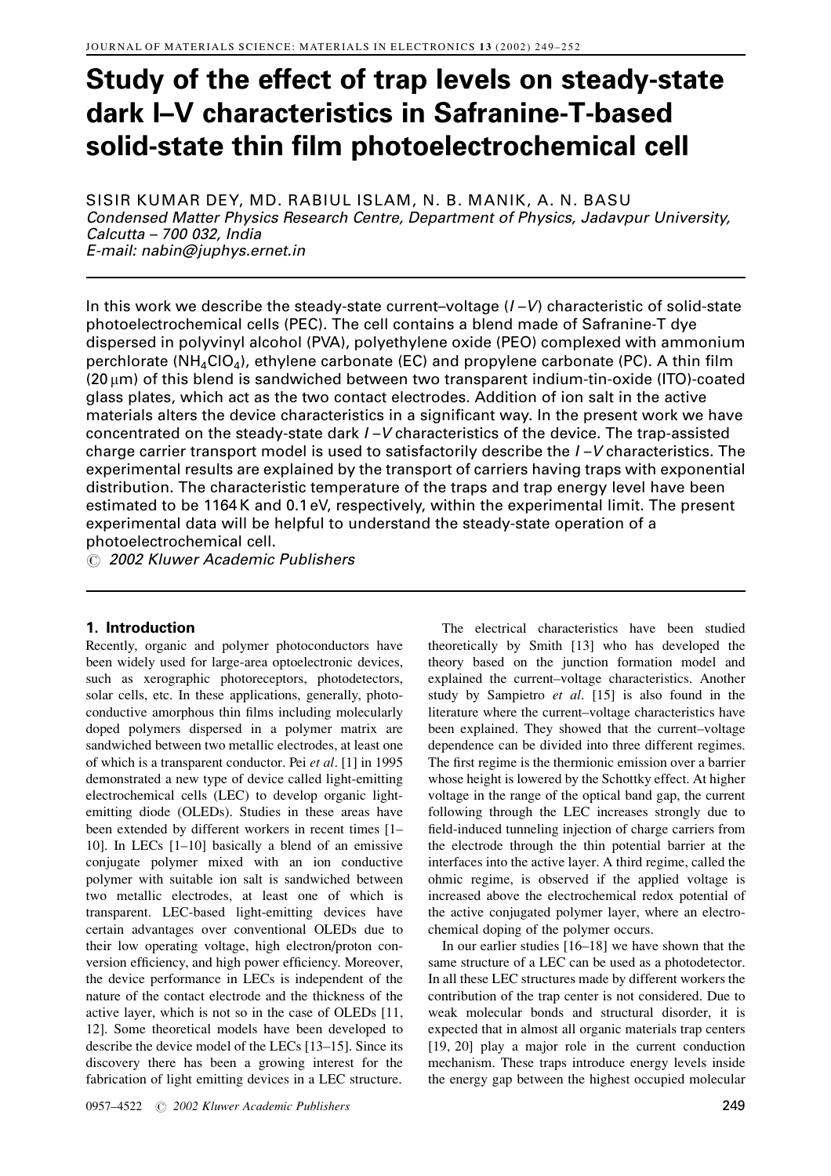# Study of the effect of trap levels on steady-state dark I-V characteristics in Safranine-T-based solid-state thin film photoelectrochemical cell

SISIR KUMAR DEY, MD. RABIUL ISLAM, N. B. MANIK, A. N. BASU Condensed Matter Physics Research Centre, Department of Physics, Jadavpur University, Calcutta - 700 032, India E-mail: nabin@juphys.ernet.in

In this work we describe the steady-state current-voltage  $(I - V)$  characteristic of solid-state photoelectrochemical cells (PEC). The cell contains a blend made of Safranine-T dye dispersed in polyvinyl alcohol (PVA), polyethylene oxide (PEO) complexed with ammonium perchlorate ( $NH_4ClO_4$ ), ethylene carbonate (EC) and propylene carbonate (PC). A thin film (20 µm) of this blend is sandwiched between two transparent indium-tin-oxide (ITO)-coated glass plates, which act as the two contact electrodes. Addition of ion salt in the active materials alters the device characteristics in a significant way. In the present work we have concentrated on the steady-state dark  $I-V$  characteristics of the device. The trap-assisted charge carrier transport model is used to satisfactorily describe the I-V characteristics. The experimental results are explained by the transport of carriers having traps with exponential distribution. The characteristic temperature of the traps and trap energy level have been estimated to be 1164K and 0.1 eV, respectively, within the experimental limit. The present experimental data will be helpful to understand the steady-state operation of a photoelectrochemical cell.

© 2002 Kluwer Academic Publishers

# 1. Introduction

Recently, organic and polymer photoconductors have been widely used for large-area optoelectronic devices, such as xerographic photoreceptors, photodetectors, solar cells, etc. In these applications, generally, photoconductive amorphous thin films including molecularly doped polymers dispersed in a polymer matrix are sandwiched between two metallic electrodes, at least one of which is a transparent conductor. Pei et al. [1] in 1995 demonstrated a new type of device called light-emitting electrochemical cells (LEC) to develop organic lightemitting diode (OLEDs). Studies in these areas have been extended by different workers in recent times [1– 10]. In LECs  $[1-10]$  basically a blend of an emissive conjugate polymer mixed with an ion conductive polymer with suitable ion salt is sandwiched between two metallic electrodes, at least one of which is transparent. LEC-based light-emitting devices have certain advantages over conventional OLEDs due to their low operating voltage, high electron/proton conversion efficiency, and high power efficiency. Moreover, the device performance in LECs is independent of the nature of the contact electrode and the thickness of the active layer, which is not so in the case of OLEDs [11, 12]. Some theoretical models have been developed to describe the device model of the LECs [13-15]. Since its discovery there has been a growing interest for the fabrication of light emitting devices in a LEC structure.

The electrical characteristics have been studied theoretically by Smith [13] who has developed the theory based on the junction formation model and explained the current-voltage characteristics. Another study by Sampietro et al. [15] is also found in the literature where the current-voltage characteristics have been explained. They showed that the current-voltage dependence can be divided into three different regimes. The first regime is the thermionic emission over a barrier whose height is lowered by the Schottky effect. At higher voltage in the range of the optical band gap, the current following through the LEC increases strongly due to field-induced tunneling injection of charge carriers from the electrode through the thin potential barrier at the interfaces into the active layer. A third regime, called the ohmic regime, is observed if the applied voltage is increased above the electrochemical redox potential of the active conjugated polymer layer, where an electrochemical doping of the polymer occurs.

In our earlier studies  $[16-18]$  we have shown that the same structure of a LEC can be used as a photodetector. In all these LEC structures made by different workers the contribution of the trap center is not considered. Due to weak molecular bonds and structural disorder, it is expected that in almost all organic materials trap centers  $[19, 20]$  play a major role in the current conduction mechanism. These traps introduce energy levels inside the energy gap between the highest occupied molecular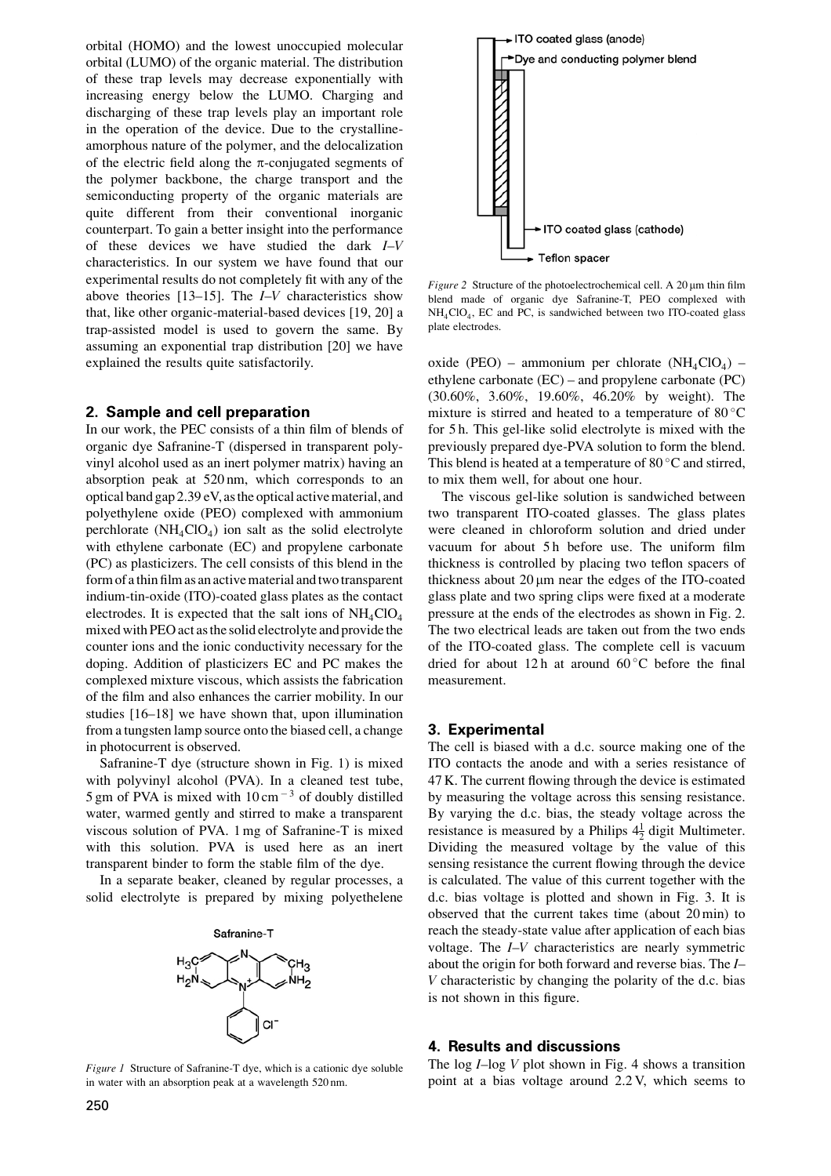orbital (HOMO) and the lowest unoccupied molecular orbital (LUMO) of the organic material. The distribution of these trap levels may decrease exponentially with increasing energy below the LUMO. Charging and discharging of these trap levels play an important role in the operation of the device. Due to the crystallineamorphous nature of the polymer, and the delocalization of the electric field along the  $\pi$ -conjugated segments of the polymer backbone, the charge transport and the semiconducting property of the organic materials are quite different from their conventional inorganic counterpart. To gain a better insight into the performance of these devices we have studied the dark  $I-V$ characteristics. In our system we have found that our experimental results do not completely fit with any of the above theories  $[13-15]$ . The  $I-V$  characteristics show that, like other organic-material-based devices [19, 20] a trap-assisted model is used to govern the same. By assuming an exponential trap distribution [20] we have explained the results quite satisfactorily.

#### 2. Sample and cell preparation

In our work, the PEC consists of a thin film of blends of organic dye Safranine-T (dispersed in transparent polyvinyl alcohol used as an inert polymer matrix) having an absorption peak at 520 nm, which corresponds to an optical band gap 2.39 eV, as the optical active material, and polvethylene oxide (PEO) complexed with ammonium perchlorate  $(NH<sub>4</sub>ClO<sub>4</sub>)$  ion salt as the solid electrolyte with ethylene carbonate (EC) and propylene carbonate (PC) as plasticizers. The cell consists of this blend in the form of a thin film as an active material and two transparent indium-tin-oxide (ITO)-coated glass plates as the contact electrodes. It is expected that the salt ions of  $NH_4ClO_4$ mixed with PEO act as the solid electrolyte and provide the counter ions and the ionic conductivity necessary for the doping. Addition of plasticizers EC and PC makes the complexed mixture viscous, which assists the fabrication of the film and also enhances the carrier mobility. In our studies [16–18] we have shown that, upon illumination from a tungsten lamp source onto the biased cell, a change in photocurrent is observed.

Safranine-T dye (structure shown in Fig. 1) is mixed with polyvinyl alcohol (PVA). In a cleaned test tube, 5 gm of PVA is mixed with  $10 \text{ cm}^{-3}$  of doubly distilled water, warmed gently and stirred to make a transparent viscous solution of PVA. 1 mg of Safranine-T is mixed with this solution. PVA is used here as an inert transparent binder to form the stable film of the dye.

In a separate beaker, cleaned by regular processes, a solid electrolyte is prepared by mixing polyethelene



Figure 1 Structure of Safranine-T dye, which is a cationic dye soluble in water with an absorption peak at a wavelength 520 nm.



Figure 2 Structure of the photoelectrochemical cell. A 20  $\mu$ m thin film blend made of organic dye Safranine-T, PEO complexed with NH<sub>4</sub>ClO<sub>4</sub>, EC and PC, is sandwiched between two ITO-coated glass plate electrodes.

oxide (PEO) – ammonium per chlorate (NH<sub>4</sub>ClO<sub>4</sub>) – ethylene carbonate  $(EC)$  – and propylene carbonate  $(PC)$ (30.60%, 3.60%, 19.60%, 46.20% by weight). The mixture is stirred and heated to a temperature of  $80^{\circ}$ C for 5 h. This gel-like solid electrolyte is mixed with the previously prepared dye-PVA solution to form the blend. This blend is heated at a temperature of 80  $\degree$ C and stirred, to mix them well, for about one hour.

The viscous gel-like solution is sandwiched between two transparent ITO-coated glasses. The glass plates were cleaned in chloroform solution and dried under vacuum for about 5h before use. The uniform film thickness is controlled by placing two teflon spacers of thickness about 20 µm near the edges of the ITO-coated glass plate and two spring clips were fixed at a moderate pressure at the ends of the electrodes as shown in Fig. 2. The two electrical leads are taken out from the two ends of the ITO-coated glass. The complete cell is vacuum dried for about 12 h at around  $60^{\circ}$ C before the final measurement.

#### 3. Experimental

The cell is biased with a d.c. source making one of the ITO contacts the anode and with a series resistance of 47 K. The current flowing through the device is estimated by measuring the voltage across this sensing resistance. By varying the d.c. bias, the steady voltage across the resistance is measured by a Philips  $4\frac{1}{2}$  digit Multimeter. Dividing the measured voltage by the value of this sensing resistance the current flowing through the device is calculated. The value of this current together with the d.c. bias voltage is plotted and shown in Fig. 3. It is observed that the current takes time (about 20 min) to reach the steady-state value after application of each bias voltage. The *I-V* characteristics are nearly symmetric about the origin for both forward and reverse bias. The *I*-V characteristic by changing the polarity of the d.c. bias is not shown in this figure.

#### **4. Results and discussions**

The log  $I$ -log V plot shown in Fig. 4 shows a transition point at a bias voltage around 2.2 V, which seems to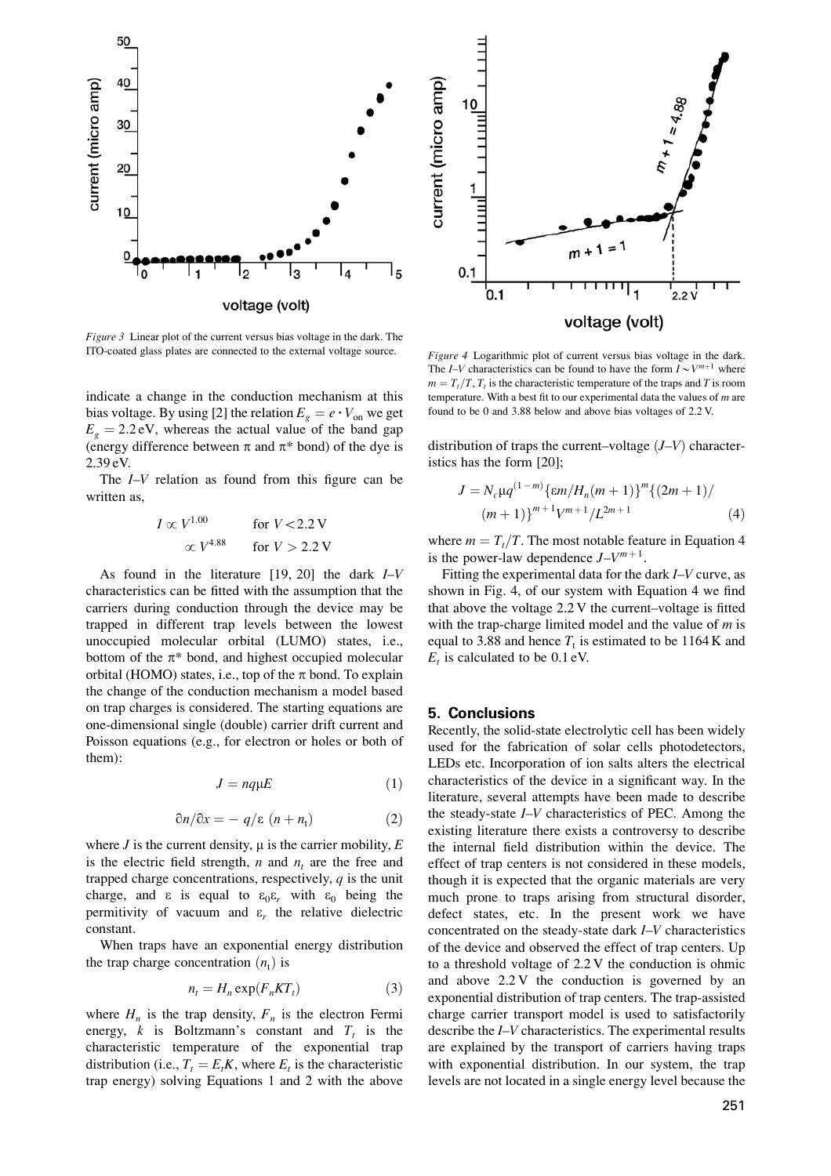

*Figure 3* Linear plot of the current versus bias voltage in the dark. The ITO-coated glass plates are connected to the external voltage source.

indicate a change in the conduction mechanism at this bias voltage. By using [2] the relation  $E_g = e \cdot V_{on}$  we get  $E<sub>g</sub> = 2.2$  eV, whereas the actual value of the band gap (energy difference between  $\pi$  and  $\pi^*$  bond) of the dye is 2.39 eV.

The  $I-V$  relation as found from this figure can be written as,

$$
I \propto V^{1.00}
$$
 for  $V < 2.2$  V  
  $\propto V^{4.88}$  for  $V > 2.2$  V

As found in the literature  $[19, 20]$  the dark  $I-V$ characteristics can be fitted with the assumption that the carriers during conduction through the device may be trapped in different trap levels between the lowest unoccupied molecular orbital (LUMO) states, i.e., bottom of the  $\pi^*$  bond, and highest occupied molecular orbital (HOMO) states, i.e., top of the  $\pi$  bond. To explain the change of the conduction mechanism a model based on trap charges is considered. The starting equations are one-dimensional single (double) carrier drift current and Poisson equations (e.g., for electron or holes or both of them):

$$
J = nq\mu E \tag{1}
$$

$$
\partial n/\partial x = -q/\varepsilon \ (n+n_{\rm t}) \tag{2}
$$

where  $J$  is the current density,  $\mu$  is the carrier mobility,  $E$ is the electric field strength,  $n$  and  $n_t$  are the free and trapped charge concentrations, respectively,  $q$  is the unit charge, and  $\varepsilon$  is equal to  $\varepsilon_0 \varepsilon_r$  with  $\varepsilon_0$  being the permittivity of vacuum and  $\varepsilon$ , the relative dielectric constant

When traps have an exponential energy distribution the trap charge concentration  $(n_t)$  is

$$
n_t = H_n \exp(F_n KT_t) \tag{3}
$$

where  $H_n$  is the trap density,  $F_n$  is the electron Fermi energy, k is Boltzmann's constant and  $T_t$  is the characteristic temperature of the exponential trap distribution (i.e.,  $T_t = E_t K$ , where  $E_t$  is the characteristic trap energy) solving Equations 1 and 2 with the above



Figure 4 Logarithmic plot of current versus bias voltage in the dark. The I–V characteristics can be found to have the form  $I \sim V^{m+1}$  where  $m = T_t/T$ ,  $T_t$  is the characteristic temperature of the traps and T is room temperature. With a best fit to our experimental data the values of  $m$  are found to be 0 and 3.88 below and above bias voltages of 2.2 V.

distribution of traps the current-voltage  $(J-V)$  characteristics has the form [20];

$$
J = N_c \mu q^{(1-m)} \{ \varepsilon m / H_n(m+1) \}^m \{ (2m+1) / (m+1) \}^{m+1} V^{m+1} / L^{2m+1}
$$
 (4)

where  $m = T_t/T$ . The most notable feature in Equation 4 is the power-law dependence  $J-V^{m+1}$ .

Fitting the experimental data for the dark  $I-V$  curve, as shown in Fig. 4, of our system with Equation 4 we find that above the voltage  $2.2$  V the current-voltage is fitted with the trap-charge limited model and the value of  $m$  is equal to 3.88 and hence  $T<sub>t</sub>$  is estimated to be 1164 K and  $E_t$  is calculated to be 0.1 eV.

#### **5. Conclusions**

Recently, the solid-state electrolytic cell has been widely used for the fabrication of solar cells photodetectors, LEDs etc. Incorporation of ion salts alters the electrical characteristics of the device in a significant way. In the literature, several attempts have been made to describe the steady-state I-V characteristics of PEC. Among the existing literature there exists a controversy to describe the internal field distribution within the device. The effect of trap centers is not considered in these models, though it is expected that the organic materials are very much prone to traps arising from structural disorder, defect states, etc. In the present work we have concentrated on the steady-state dark *I*-*V* characteristics of the device and observed the effect of trap centers. Up to a threshold voltage of 2.2 V the conduction is ohmic and above  $2.2 \text{ V}$  the conduction is governed by an exponential distribution of trap centers. The trap-assisted charge carrier transport model is used to satisfactorily describe the  $I-V$  characteristics. The experimental results are explained by the transport of carriers having traps with exponential distribution. In our system, the trap levels are not located in a single energy level because the